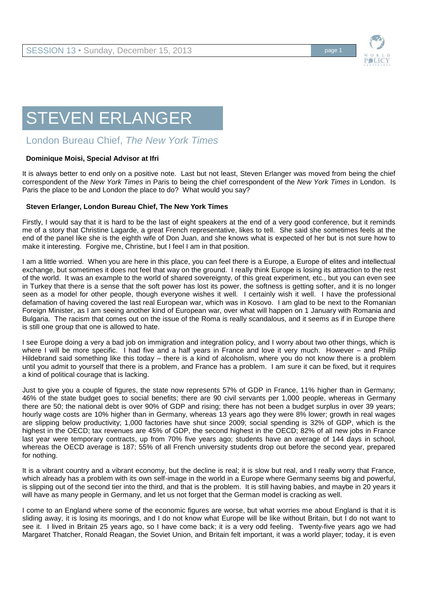

## STEVEN ERLANGER

## London Bureau Chief, *The New York Times*

## **Dominique Moisi, Special Advisor at Ifri**

It is always better to end only on a positive note. Last but not least, Steven Erlanger was moved from being the chief correspondent of the *New York Times* in Paris to being the chief correspondent of the *New York Times* in London. Is Paris the place to be and London the place to do? What would you say?

## **Steven Erlanger, London Bureau Chief, The New York Times**

Firstly, I would say that it is hard to be the last of eight speakers at the end of a very good conference, but it reminds me of a story that Christine Lagarde, a great French representative, likes to tell. She said she sometimes feels at the end of the panel like she is the eighth wife of Don Juan, and she knows what is expected of her but is not sure how to make it interesting. Forgive me, Christine, but I feel I am in that position.

I am a little worried. When you are here in this place, you can feel there is a Europe, a Europe of elites and intellectual exchange, but sometimes it does not feel that way on the ground. I really think Europe is losing its attraction to the rest of the world. It was an example to the world of shared sovereignty, of this great experiment, etc., but you can even see in Turkey that there is a sense that the soft power has lost its power, the softness is getting softer, and it is no longer seen as a model for other people, though everyone wishes it well. I certainly wish it well. I have the professional defamation of having covered the last real European war, which was in Kosovo. I am glad to be next to the Romanian Foreign Minister, as I am seeing another kind of European war, over what will happen on 1 January with Romania and Bulgaria. The racism that comes out on the issue of the Roma is really scandalous, and it seems as if in Europe there is still one group that one is allowed to hate.

I see Europe doing a very a bad job on immigration and integration policy, and I worry about two other things, which is where I will be more specific. I had five and a half years in France and love it very much. However – and Philip Hildebrand said something like this today – there is a kind of alcoholism, where you do not know there is a problem until you admit to yourself that there is a problem, and France has a problem. I am sure it can be fixed, but it requires a kind of political courage that is lacking.

Just to give you a couple of figures, the state now represents 57% of GDP in France, 11% higher than in Germany; 46% of the state budget goes to social benefits; there are 90 civil servants per 1,000 people, whereas in Germany there are 50; the national debt is over 90% of GDP and rising; there has not been a budget surplus in over 39 years; hourly wage costs are 10% higher than in Germany, whereas 13 years ago they were 8% lower; growth in real wages are slipping below productivity; 1,000 factories have shut since 2009; social spending is 32% of GDP, which is the highest in the OECD; tax revenues are 45% of GDP, the second highest in the OECD; 82% of all new jobs in France last year were temporary contracts, up from 70% five years ago; students have an average of 144 days in school, whereas the OECD average is 187; 55% of all French university students drop out before the second year, prepared for nothing.

It is a vibrant country and a vibrant economy, but the decline is real; it is slow but real, and I really worry that France, which already has a problem with its own self-image in the world in a Europe where Germany seems big and powerful, is slipping out of the second tier into the third, and that is the problem. It is still having babies, and maybe in 20 years it will have as many people in Germany, and let us not forget that the German model is cracking as well.

I come to an England where some of the economic figures are worse, but what worries me about England is that it is sliding away, it is losing its moorings, and I do not know what Europe will be like without Britain, but I do not want to see it. I lived in Britain 25 years ago, so I have come back; it is a very odd feeling. Twenty-five years ago we had Margaret Thatcher, Ronald Reagan, the Soviet Union, and Britain felt important, it was a world player; today, it is even